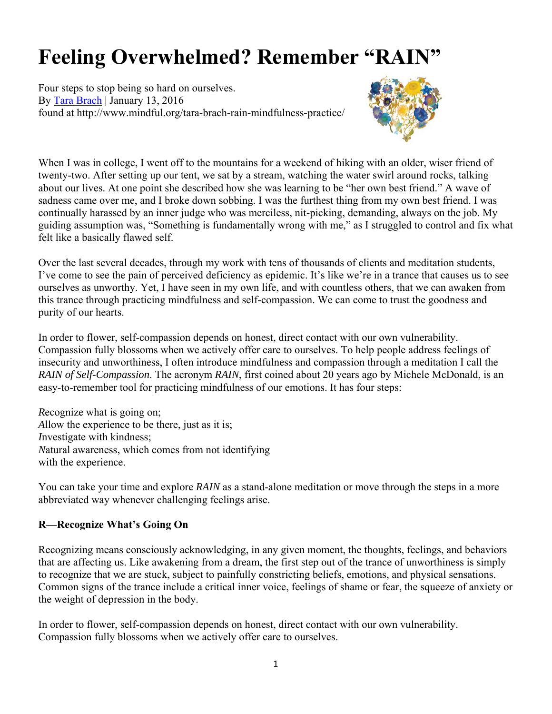# **Feeling Overwhelmed? Remember "RAIN"**

Four steps to stop being so hard on ourselves. By Tara Brach | January 13, 2016 found at http://www.mindful.org/tara-brach-rain-mindfulness-practice/



When I was in college, I went off to the mountains for a weekend of hiking with an older, wiser friend of twenty-two. After setting up our tent, we sat by a stream, watching the water swirl around rocks, talking about our lives. At one point she described how she was learning to be "her own best friend." A wave of sadness came over me, and I broke down sobbing. I was the furthest thing from my own best friend. I was continually harassed by an inner judge who was merciless, nit-picking, demanding, always on the job. My guiding assumption was, "Something is fundamentally wrong with me," as I struggled to control and fix what felt like a basically flawed self.

Over the last several decades, through my work with tens of thousands of clients and meditation students, I've come to see the pain of perceived deficiency as epidemic. It's like we're in a trance that causes us to see ourselves as unworthy. Yet, I have seen in my own life, and with countless others, that we can awaken from this trance through practicing mindfulness and self-compassion. We can come to trust the goodness and purity of our hearts.

In order to flower, self-compassion depends on honest, direct contact with our own vulnerability. Compassion fully blossoms when we actively offer care to ourselves. To help people address feelings of insecurity and unworthiness, I often introduce mindfulness and compassion through a meditation I call the *RAIN of Self-Compassion*. The acronym *RAIN*, first coined about 20 years ago by Michele McDonald, is an easy-to-remember tool for practicing mindfulness of our emotions. It has four steps:

*R*ecognize what is going on; *A*llow the experience to be there, just as it is; *I*nvestigate with kindness; *N*atural awareness, which comes from not identifying with the experience.

You can take your time and explore *RAIN* as a stand-alone meditation or move through the steps in a more abbreviated way whenever challenging feelings arise.

## **R—Recognize What's Going On**

Recognizing means consciously acknowledging, in any given moment, the thoughts, feelings, and behaviors that are affecting us. Like awakening from a dream, the first step out of the trance of unworthiness is simply to recognize that we are stuck, subject to painfully constricting beliefs, emotions, and physical sensations. Common signs of the trance include a critical inner voice, feelings of shame or fear, the squeeze of anxiety or the weight of depression in the body.

In order to flower, self-compassion depends on honest, direct contact with our own vulnerability. Compassion fully blossoms when we actively offer care to ourselves.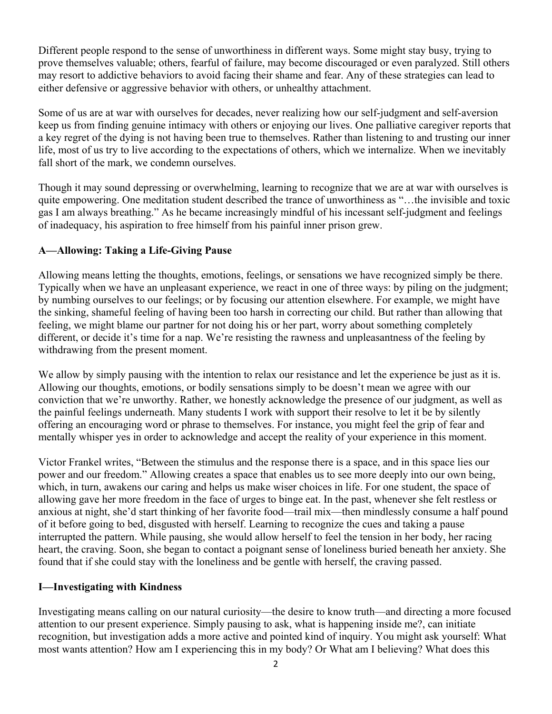Different people respond to the sense of unworthiness in different ways. Some might stay busy, trying to prove themselves valuable; others, fearful of failure, may become discouraged or even paralyzed. Still others may resort to addictive behaviors to avoid facing their shame and fear. Any of these strategies can lead to either defensive or aggressive behavior with others, or unhealthy attachment.

Some of us are at war with ourselves for decades, never realizing how our self-judgment and self-aversion keep us from finding genuine intimacy with others or enjoying our lives. One palliative caregiver reports that a key regret of the dying is not having been true to themselves. Rather than listening to and trusting our inner life, most of us try to live according to the expectations of others, which we internalize. When we inevitably fall short of the mark, we condemn ourselves.

Though it may sound depressing or overwhelming, learning to recognize that we are at war with ourselves is quite empowering. One meditation student described the trance of unworthiness as "…the invisible and toxic gas I am always breathing." As he became increasingly mindful of his incessant self-judgment and feelings of inadequacy, his aspiration to free himself from his painful inner prison grew.

## **A—Allowing: Taking a Life-Giving Pause**

Allowing means letting the thoughts, emotions, feelings, or sensations we have recognized simply be there. Typically when we have an unpleasant experience, we react in one of three ways: by piling on the judgment; by numbing ourselves to our feelings; or by focusing our attention elsewhere. For example, we might have the sinking, shameful feeling of having been too harsh in correcting our child. But rather than allowing that feeling, we might blame our partner for not doing his or her part, worry about something completely different, or decide it's time for a nap. We're resisting the rawness and unpleasantness of the feeling by withdrawing from the present moment.

We allow by simply pausing with the intention to relax our resistance and let the experience be just as it is. Allowing our thoughts, emotions, or bodily sensations simply to be doesn't mean we agree with our conviction that we're unworthy. Rather, we honestly acknowledge the presence of our judgment, as well as the painful feelings underneath. Many students I work with support their resolve to let it be by silently offering an encouraging word or phrase to themselves. For instance, you might feel the grip of fear and mentally whisper yes in order to acknowledge and accept the reality of your experience in this moment.

Victor Frankel writes, "Between the stimulus and the response there is a space, and in this space lies our power and our freedom." Allowing creates a space that enables us to see more deeply into our own being, which, in turn, awakens our caring and helps us make wiser choices in life. For one student, the space of allowing gave her more freedom in the face of urges to binge eat. In the past, whenever she felt restless or anxious at night, she'd start thinking of her favorite food—trail mix—then mindlessly consume a half pound of it before going to bed, disgusted with herself. Learning to recognize the cues and taking a pause interrupted the pattern. While pausing, she would allow herself to feel the tension in her body, her racing heart, the craving. Soon, she began to contact a poignant sense of loneliness buried beneath her anxiety. She found that if she could stay with the loneliness and be gentle with herself, the craving passed.

## **I—Investigating with Kindness**

Investigating means calling on our natural curiosity—the desire to know truth—and directing a more focused attention to our present experience. Simply pausing to ask, what is happening inside me?, can initiate recognition, but investigation adds a more active and pointed kind of inquiry. You might ask yourself: What most wants attention? How am I experiencing this in my body? Or What am I believing? What does this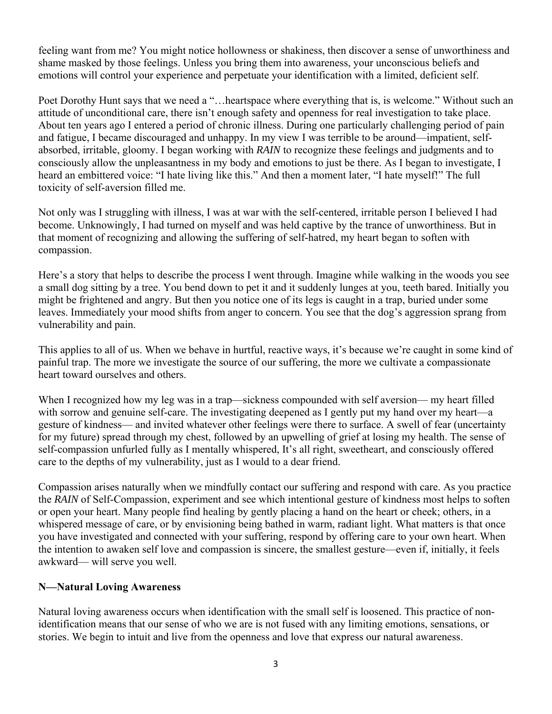feeling want from me? You might notice hollowness or shakiness, then discover a sense of unworthiness and shame masked by those feelings. Unless you bring them into awareness, your unconscious beliefs and emotions will control your experience and perpetuate your identification with a limited, deficient self.

Poet Dorothy Hunt says that we need a "…heartspace where everything that is, is welcome." Without such an attitude of unconditional care, there isn't enough safety and openness for real investigation to take place. About ten years ago I entered a period of chronic illness. During one particularly challenging period of pain and fatigue, I became discouraged and unhappy. In my view I was terrible to be around—impatient, selfabsorbed, irritable, gloomy. I began working with *RAIN* to recognize these feelings and judgments and to consciously allow the unpleasantness in my body and emotions to just be there. As I began to investigate, I heard an embittered voice: "I hate living like this." And then a moment later, "I hate myself!" The full toxicity of self-aversion filled me.

Not only was I struggling with illness, I was at war with the self-centered, irritable person I believed I had become. Unknowingly, I had turned on myself and was held captive by the trance of unworthiness. But in that moment of recognizing and allowing the suffering of self-hatred, my heart began to soften with compassion.

Here's a story that helps to describe the process I went through. Imagine while walking in the woods you see a small dog sitting by a tree. You bend down to pet it and it suddenly lunges at you, teeth bared. Initially you might be frightened and angry. But then you notice one of its legs is caught in a trap, buried under some leaves. Immediately your mood shifts from anger to concern. You see that the dog's aggression sprang from vulnerability and pain.

This applies to all of us. When we behave in hurtful, reactive ways, it's because we're caught in some kind of painful trap. The more we investigate the source of our suffering, the more we cultivate a compassionate heart toward ourselves and others.

When I recognized how my leg was in a trap—sickness compounded with self aversion— my heart filled with sorrow and genuine self-care. The investigating deepened as I gently put my hand over my heart—a gesture of kindness— and invited whatever other feelings were there to surface. A swell of fear (uncertainty for my future) spread through my chest, followed by an upwelling of grief at losing my health. The sense of self-compassion unfurled fully as I mentally whispered, It's all right, sweetheart, and consciously offered care to the depths of my vulnerability, just as I would to a dear friend.

Compassion arises naturally when we mindfully contact our suffering and respond with care. As you practice the *RAIN* of Self-Compassion, experiment and see which intentional gesture of kindness most helps to soften or open your heart. Many people find healing by gently placing a hand on the heart or cheek; others, in a whispered message of care, or by envisioning being bathed in warm, radiant light. What matters is that once you have investigated and connected with your suffering, respond by offering care to your own heart. When the intention to awaken self love and compassion is sincere, the smallest gesture—even if, initially, it feels awkward— will serve you well.

## **N—Natural Loving Awareness**

Natural loving awareness occurs when identification with the small self is loosened. This practice of nonidentification means that our sense of who we are is not fused with any limiting emotions, sensations, or stories. We begin to intuit and live from the openness and love that express our natural awareness.